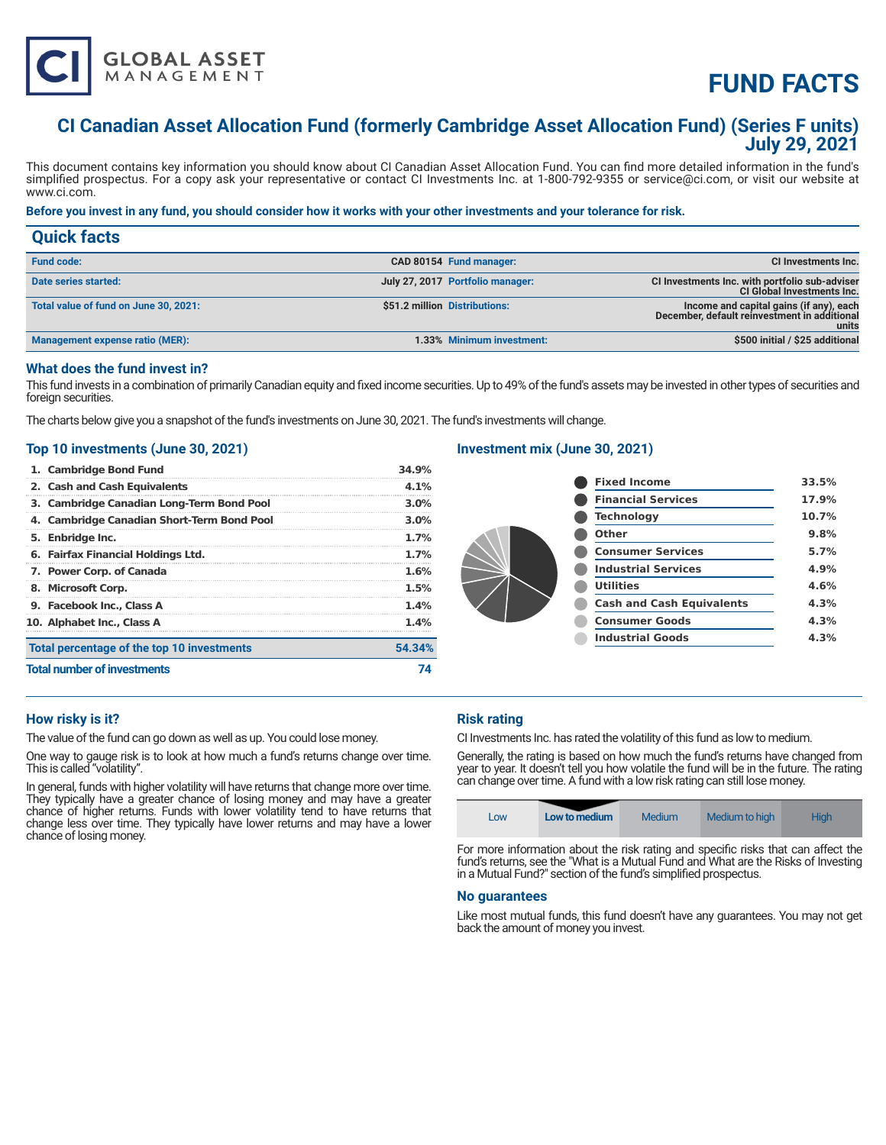

# **FUND FACTS**

# **CI Canadian Asset Allocation Fund (formerly Cambridge Asset Allocation Fund) (Series F units) July 29, 2021**

This document contains key information you should know about CI Canadian Asset Allocation Fund. You can find more detailed information in the fund's simplified prospectus. For a copy ask your representative or contact CI Investments Inc. at 1-800-792-9355 or service@ci.com, or visit our website at www.ci.com.

# **Before you invest in any fund, you should consider how it works with your other investments and your tolerance for risk.**

| <b>Quick facts</b>                    |                                  |                                                                                                  |
|---------------------------------------|----------------------------------|--------------------------------------------------------------------------------------------------|
| <b>Fund code:</b>                     | CAD 80154 Fund manager:          | CI Investments Inc.                                                                              |
| Date series started:                  | July 27, 2017 Portfolio manager: | CI Investments Inc. with portfolio sub-adviser<br><b>CI Global Investments Inc.</b>              |
| Total value of fund on June 30, 2021: | \$51.2 million Distributions:    | Income and capital gains (if any), each<br>December, default reinvestment in additional<br>units |
| Management expense ratio (MER):       | 1.33% Minimum investment:        | \$500 initial / \$25 additional                                                                  |

# **What does the fund invest in?**

This fund invests in a combination of primarily Canadian equity and fixed income securities. Up to 49% of the fund's assets may be invested in other types of securities and foreign securities.

The charts below give you a snapshot of the fund's investments on June 30, 2021. The fund's investments will change.

#### **Top 10 investments (June 30, 2021)**

| 1. Cambridge Bond Fund                     | 34.9%   |
|--------------------------------------------|---------|
| 2. Cash and Cash Equivalents               | 4.1%    |
| 3. Cambridge Canadian Long-Term Bond Pool  | 3.0%    |
| 4. Cambridge Canadian Short-Term Bond Pool | 3.0%    |
| 5. Enbridge Inc.                           | $1.7\%$ |
| 6. Fairfax Financial Holdings Ltd.         | 1.7%    |
| 7. Power Corp. of Canada                   | 1.6%    |
| 8. Microsoft Corp.                         | 1.5%    |
| 9. Facebook Inc., Class A                  | 1.4%    |
| 10. Alphabet Inc., Class A                 | 1.4%    |
| Total percentage of the top 10 investments | 54.34%  |
| <b>Total number of investments</b>         | 74      |

## **Investment mix (June 30, 2021)**

| <b>Fixed Income</b>              | 33.5% |
|----------------------------------|-------|
| <b>Financial Services</b>        | 17.9% |
| <b>Technology</b>                | 10.7% |
| Other                            | 9.8%  |
| <b>Consumer Services</b>         | 5.7%  |
| <b>Industrial Services</b>       | 4.9%  |
| <b>Utilities</b>                 | 4.6%  |
| <b>Cash and Cash Equivalents</b> | 4.3%  |
| <b>Consumer Goods</b>            | 4.3%  |
| <b>Industrial Goods</b>          | 4.3%  |
|                                  |       |

### **How risky is it?**

The value of the fund can go down as well as up. You could lose money.

One way to gauge risk is to look at how much a fund's returns change over time. This is called "volatility".

In general, funds with higher volatility will have returns that change more over time. They typically have a greater chance of losing money and may have a greater chance of higher returns. Funds with lower volatility tend to have returns that change less over time. They typically have lower returns and may have a lower chance of losing money.

### **Risk rating**

CI Investments Inc. has rated the volatility of this fund as low to medium.

Generally, the rating is based on how much the fund's returns have changed from year to year. It doesn't tell you how volatile the fund will be in the future. The rating can change over time. A fund with a low risk rating can still lose money.

| Low | Low to medium | Medium                                                                           | Medium to high | <b>High</b> |
|-----|---------------|----------------------------------------------------------------------------------|----------------|-------------|
|     |               | For more information about the risk rating and specific risks that can affect th |                |             |

For more information about the risk rating and specific risks that can affect the fund's returns, see the "What is a Mutual Fund and What are the Risks of Investing in a Mutual Fund?" section of the fund's simplified prospectus.

#### **No guarantees**

Like most mutual funds, this fund doesn't have any guarantees. You may not get back the amount of money you invest.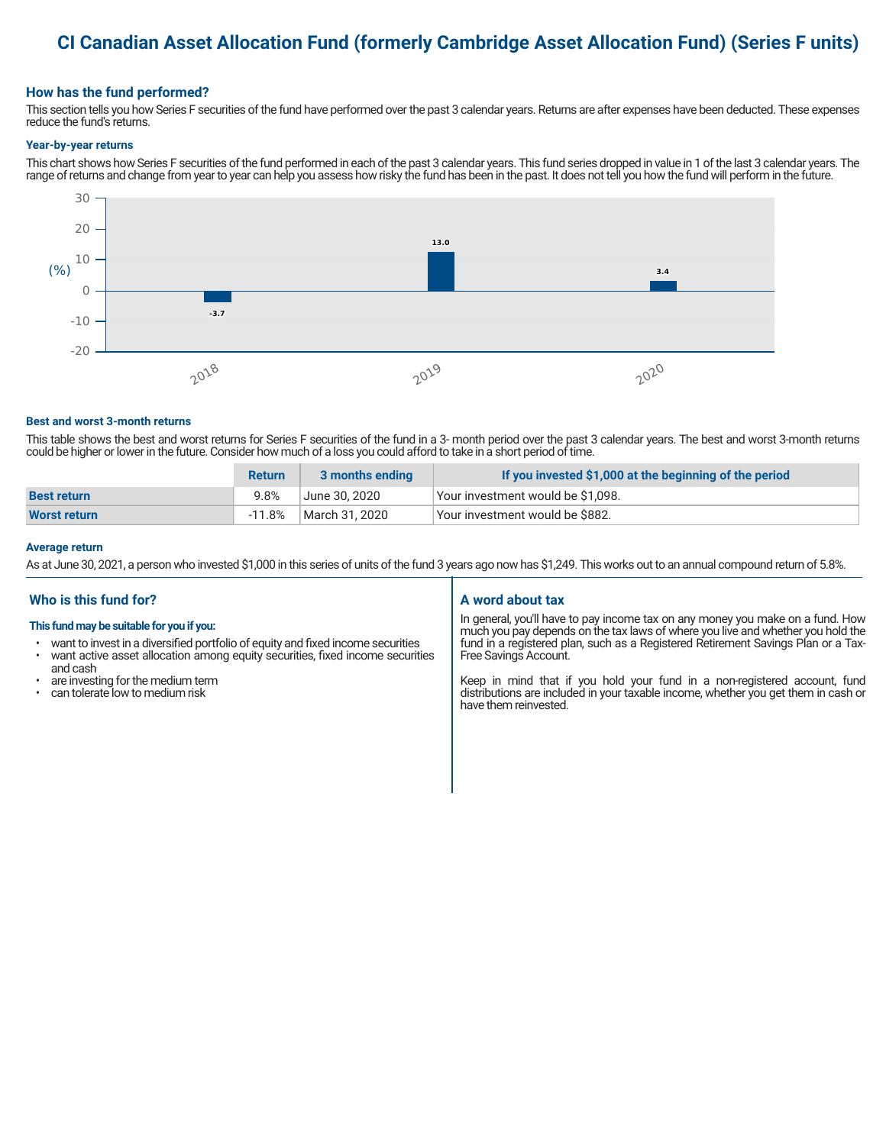# **CI Canadian Asset Allocation Fund (formerly Cambridge Asset Allocation Fund) (Series F units)**

## **How has the fund performed?**

This section tells you how Series F securities of the fund have performed over the past 3 calendar years. Returns are after expenses have been deducted. These expenses reduce the fund's returns.

#### **Year-by-year returns**

This chart shows how Series F securities of the fund performed in each of the past 3 calendar years. This fund series dropped in value in 1 of the last 3 calendar years. The range of returns and change from year to year can help you assess how risky the fund has been in the past. It does not tell you how the fund will perform in the future.



#### **Best and worst 3-month returns**

This table shows the best and worst returns for Series F securities of the fund in a 3- month period over the past 3 calendar years. The best and worst 3-month returns could be higher or lower in the future. Consider how much of a loss you could afford to take in a short period of time.

|                     | <b>Return</b> | 3 months ending | If you invested \$1,000 at the beginning of the period |
|---------------------|---------------|-----------------|--------------------------------------------------------|
| <b>Best return</b>  | 9.8%          | June 30, 2020   | Your investment would be \$1,098.                      |
| <b>Worst return</b> | $-11.8%$      | March 31, 2020  | Vour investment would be \$882.                        |

#### **Average return**

As at June 30, 2021, a person who invested \$1,000 in this series of units of the fund 3 years ago now has \$1,249. This works out to an annual compound return of 5.8%.

# **Who is this fund for?**

#### **This fund may be suitable for you if you:**

- want to invest in a diversified portfolio of equity and fixed income securities
- want active asset allocation among equity securities, fixed income securities and cash
- are investing for the medium term
- can tolerate low to medium risk

# **A word about tax**

In general, you'll have to pay income tax on any money you make on a fund. How much you pay depends on the tax laws of where you live and whether you hold the fund in a registered plan, such as a Registered Retirement Savings Plan or a Tax-Free Savings Account.

Keep in mind that if you hold your fund in a non-registered account, fund distributions are included in your taxable income, whether you get them in cash or have them reinvested.